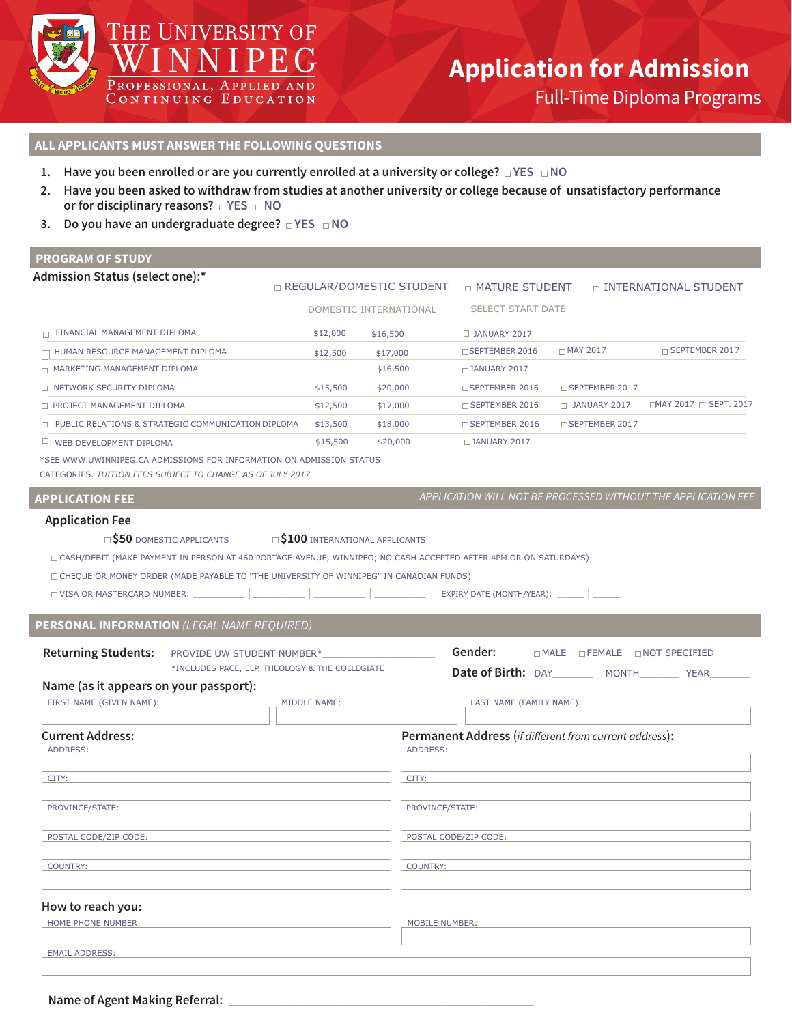

# THE UNIVERSITY OF **IED AND**

PROFESSIONAL, CONTINUING EDU CATION

# **Application for Admission**

Full-Time Diploma Programs

# **ALL APPLICANTS MUST ANSWER THE FOLLOWING QUESTIONS**

- **1.** Have you been enrolled or are you currently enrolled at a university or college?  $\Box$  YES  $\Box$  NO
- **2. Have you been asked to withdraw from studies at another university or college because of unsatisfactory performance or for disciplinary reasons?**  $\Box$  YES  $\Box$  NO
- **3.** Do you have an undergraduate degree?  $\Box$  YES  $\Box$  NO

# **PROGRAM OF STUDY**

| Admission Status (select one):*                                                                                                                                                  |              | □ REGULAR/DOMESTIC STUDENT | <b>D MATURE STUDENT</b>                                              |                              | □ INTERNATIONAL STUDENT                                       |  |  |
|----------------------------------------------------------------------------------------------------------------------------------------------------------------------------------|--------------|----------------------------|----------------------------------------------------------------------|------------------------------|---------------------------------------------------------------|--|--|
|                                                                                                                                                                                  |              | DOMESTIC INTERNATIONAL     | <b>SELECT START DATE</b>                                             |                              |                                                               |  |  |
| $\Box$ FINANCIAL MANAGEMENT DIPLOMA                                                                                                                                              | \$12,000     | \$16,500                   | $\Box$ JANUARY 2017                                                  |                              |                                                               |  |  |
| HUMAN RESOURCE MANAGEMENT DIPLOMA                                                                                                                                                | \$12,500     | \$17,000                   | □SEPTEMBER 2016                                                      | $\Box$ MAY 2017              | □ SEPTEMBER 2017                                              |  |  |
| MARKETING MANAGEMENT DIPLOMA                                                                                                                                                     |              | \$16,500                   | $\Box$ JANUARY 2017                                                  |                              |                                                               |  |  |
| □ NETWORK SECURITY DIPLOMA                                                                                                                                                       | \$15,500     | \$20,000                   | □SEPTEMBER 2016                                                      | □ SEPTEMBER 2017             |                                                               |  |  |
| PROJECT MANAGEMENT DIPLOMA                                                                                                                                                       | \$12,500     | \$17,000                   | $\Box$ SEPTEMBER 2016                                                | D JANUARY 2017               | □MAY 2017 □ SEPT. 2017                                        |  |  |
| □ PUBLIC RELATIONS & STRATEGIC COMMUNICATION DIPLOMA                                                                                                                             | \$13,500     | \$18,000                   | □ SEPTEMBER 2016                                                     | □ SEPTEMBER 2017             |                                                               |  |  |
| WEB DEVELOPMENT DIPLOMA                                                                                                                                                          | \$15,500     | \$20,000                   | DJANUARY 2017                                                        |                              |                                                               |  |  |
| *SEE WWW.UWINNIPEG.CA ADMISSIONS FOR INFORMATION ON ADMISSION STATUS<br>CATEGORIES. TUITION FEES SUBJECT TO CHANGE AS OF JULY 2017                                               |              |                            |                                                                      |                              |                                                               |  |  |
| <b>APPLICATION FEE</b>                                                                                                                                                           |              |                            |                                                                      |                              | APPLICATION WILL NOT BE PROCESSED WITHOUT THE APPLICATION FEE |  |  |
| <b>Application Fee</b>                                                                                                                                                           |              |                            |                                                                      |                              |                                                               |  |  |
| □ CHEQUE OR MONEY ORDER (MADE PAYABLE TO "THE UNIVERSITY OF WINNIPEG" IN CANADIAN FUNDS)<br>□ VISA OR MASTERCARD NUMBER:<br>PERSONAL INFORMATION (LEGAL NAME REQUIRED)           |              |                            | $EXPIRY$ DATE (MONTH/YEAR): $\_\_$                                   |                              |                                                               |  |  |
| <b>Returning Students:</b><br>PROVIDE UW STUDENT NUMBER*<br>*INCLUDES PACE, ELP, THEOLOGY & THE COLLEGIATE<br>Name (as it appears on your passport):<br>FIRST NAME (GIVEN NAME): | MIDDLE NAME: |                            | Gender:<br>Date of Birth: DAY MONTH YEAR<br>LAST NAME (FAMILY NAME): | □MALE □FEMALE □NOT SPECIFIED |                                                               |  |  |
|                                                                                                                                                                                  |              |                            |                                                                      |                              |                                                               |  |  |
| <b>Current Address:</b><br>ADDRESS:                                                                                                                                              |              | ADDRESS:                   | Permanent Address (if different from current address):               |                              |                                                               |  |  |
| CITY:                                                                                                                                                                            | CITY:        |                            |                                                                      |                              |                                                               |  |  |
| PROVINCE/STATE:                                                                                                                                                                  |              |                            | PROVINCE/STATE:                                                      |                              |                                                               |  |  |
| POSTAL CODE/ZIP CODE:                                                                                                                                                            |              |                            | POSTAL CODE/ZIP CODE:                                                |                              |                                                               |  |  |
| <b>COUNTRY:</b>                                                                                                                                                                  |              |                            |                                                                      |                              |                                                               |  |  |
|                                                                                                                                                                                  |              | <b>COUNTRY:</b>            |                                                                      |                              |                                                               |  |  |
| How to reach you:                                                                                                                                                                |              |                            |                                                                      |                              |                                                               |  |  |
| HOME PHONE NUMBER:                                                                                                                                                               |              | <b>MOBILE NUMBER:</b>      |                                                                      |                              |                                                               |  |  |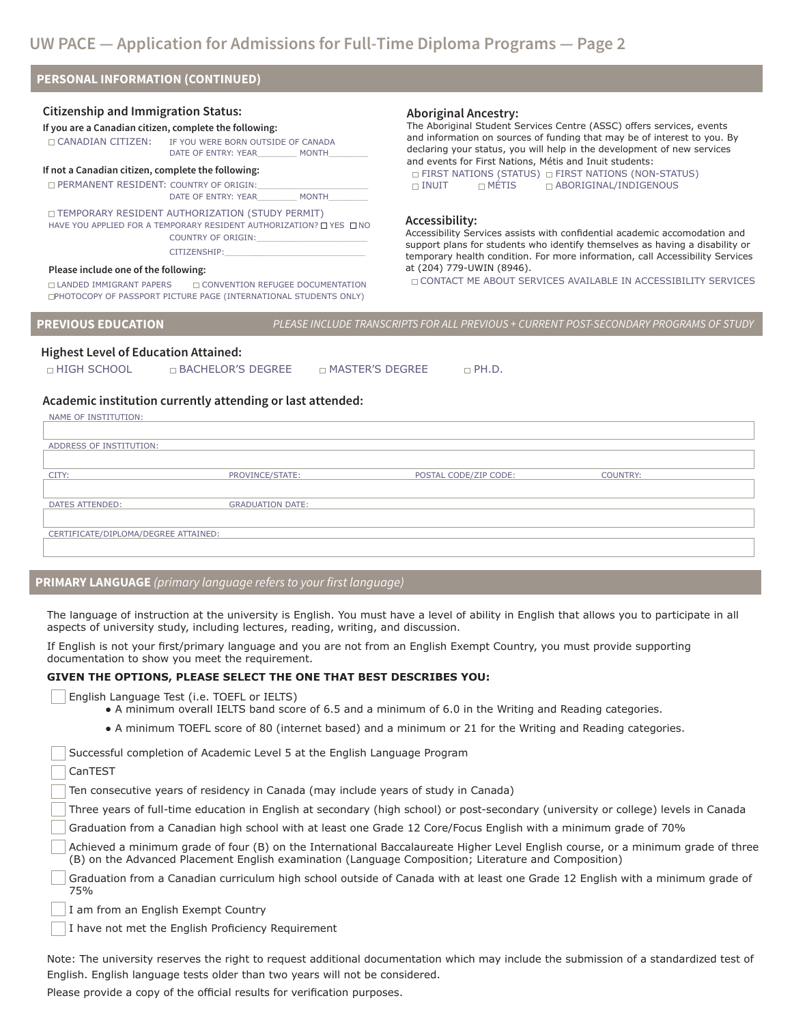# **PERSONAL INFORMATION (CONTINUED)**

#### **Citizenship and Immigration Status:**

### **If you are a Canadian citizen, complete the following:**  CANADIAN CITIZEN: IF YOU WERE BORN OUTSIDE OF CANADA DATE OF ENTRY: YEAR MONTH

# **If not a Canadian citizen, complete the following:**

 $\square$  PERMANENT RESIDENT: COUNTRY OF ORIGIN: DATE OF ENTRY: YEAR\_\_\_\_\_\_\_\_\_\_ MONTH

#### TEMPORARY RESIDENT AUTHORIZATION (STUDY PERMIT) HAVE YOU APPLIED FOR A TEMPORARY RESIDENT AUTHORIZATION? IT YES IT NO COUNTRY OF ORIGIN: CITIZENSHIP:

#### **Please include one of the following:**

 $\Box$  LANDED IMMIGRANT PAPERS  $\Box$  CONVENTION REFUGEE DOCUMENTATION PHOTOCOPY OF PASSPORT PICTURE PAGE (INTERNATIONAL STUDENTS ONLY)

### **Aboriginal Ancestry:**

The Aboriginal Student Services Centre (ASSC) offers services, events and information on sources of funding that may be of interest to you. By declaring your status, you will help in the development of new services and events for First Nations, Métis and Inuit students:  $\Box$  FIRST NATIONS (STATUS)  $\Box$  FIRST NATIONS (NON-STATUS)  $\Box$  INUIT  $\Box$  METIS  $\Box$  ABORIGINAL/INDIGENOUS

#### **Accessibility:**

Accessibility Services assists with confidential academic accomodation and support plans for students who identify themselves as having a disability or temporary health condition. For more information, call Accessibility Services at (204) 779-UWIN (8946).

 $\Box$  CONTACT ME ABOUT SERVICES AVAILABLE IN ACCESSIBILITY SERVICES

**PREVIOUS EDUCATION** *PLEASE INCLUDE TRANSCRIPTS FOR ALL PREVIOUS + CURRENT POST-SECONDARY PROGRAMS OF STUDY*

# **Highest Level of Education Attained:**

| $\Box$ bachelor's degree-<br>□ HIGH SCHOOL | ם MASTER'S DEGREE | $\neg$ PH.D. |
|--------------------------------------------|-------------------|--------------|
|--------------------------------------------|-------------------|--------------|

#### **Academic institution currently attending or last attended:**

NAME OF INSTITUTION:

| ADDRESS OF INSTITUTION:              |                         |                       |                 |
|--------------------------------------|-------------------------|-----------------------|-----------------|
|                                      |                         |                       |                 |
| CITY:                                | PROVINCE/STATE:         | POSTAL CODE/ZIP CODE: | <b>COUNTRY:</b> |
|                                      |                         |                       |                 |
| DATES ATTENDED:                      | <b>GRADUATION DATE:</b> |                       |                 |
|                                      |                         |                       |                 |
| CERTIFICATE/DIPLOMA/DEGREE ATTAINED: |                         |                       |                 |
|                                      |                         |                       |                 |

# **PRIMARY LANGUAGE** *(primary language refers to your first language)*

The language of instruction at the university is English. You must have a level of ability in English that allows you to participate in all aspects of university study, including lectures, reading, writing, and discussion.

If English is not your first/primary language and you are not from an English Exempt Country, you must provide supporting documentation to show you meet the requirement.

#### **GIVEN THE OPTIONS, PLEASE SELECT THE ONE THAT BEST DESCRIBES YOU:**

English Language Test (i.e. TOEFL or IELTS)

● A minimum overall IELTS band score of 6.5 and a minimum of 6.0 in the Writing and Reading categories.

● A minimum TOEFL score of 80 (internet based) and a minimum or 21 for the Writing and Reading categories.

|  | Successful completion of Academic Level 5 at the English Language Program |  |  |  |  |
|--|---------------------------------------------------------------------------|--|--|--|--|

CanTEST

Ten consecutive years of residency in Canada (may include years of study in Canada)

- Three years of full-time education in English at secondary (high school) or post-secondary (university or college) levels in Canada
- Graduation from a Canadian high school with at least one Grade 12 Core/Focus English with a minimum grade of 70%
- Achieved a minimum grade of four (B) on the International Baccalaureate Higher Level English course, or a minimum grade of three (B) on the Advanced Placement English examination (Language Composition; Literature and Composition)

Graduation from a Canadian curriculum high school outside of Canada with at least one Grade 12 English with a minimum grade of 75%

- I am from an English Exempt Country
- I have not met the English Proficiency Requirement

Note: The university reserves the right to request additional documentation which may include the submission of a standardized test of English. English language tests older than two years will not be considered.

Please provide a copy of the official results for verification purposes.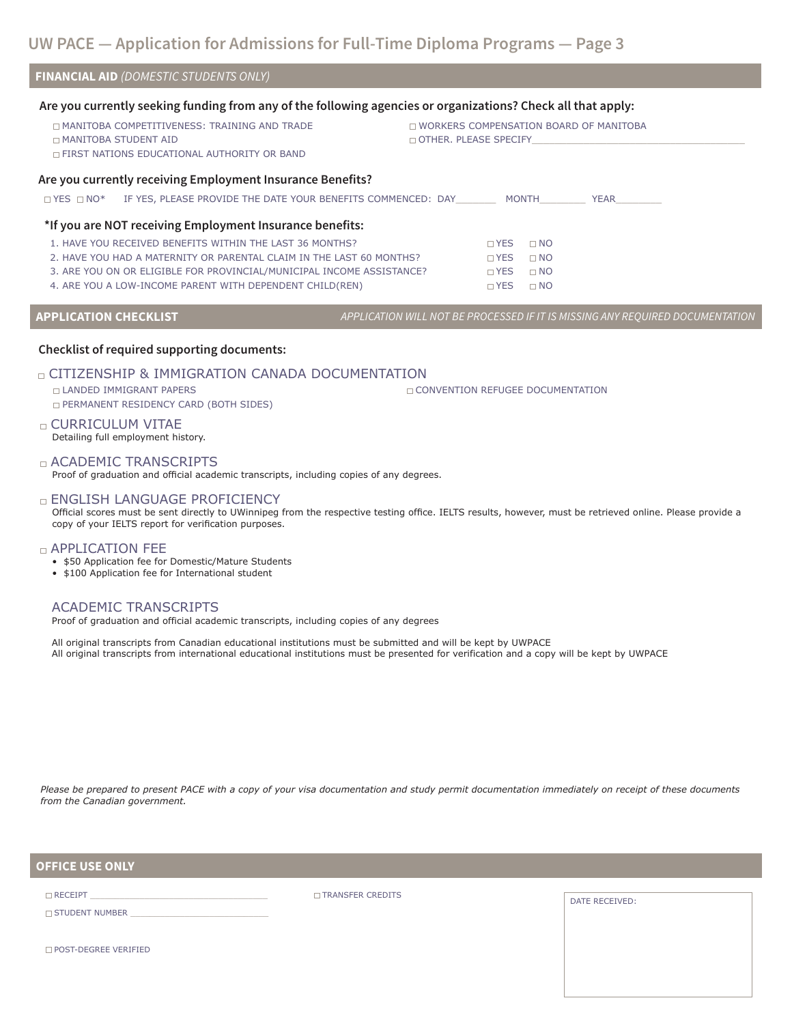| <b>FINANCIAL AID (DOMESTIC STUDENTS ONLY)</b>                                                                                                   |                                                                               |                                                                        |      |  |
|-------------------------------------------------------------------------------------------------------------------------------------------------|-------------------------------------------------------------------------------|------------------------------------------------------------------------|------|--|
| Are you currently seeking funding from any of the following agencies or organizations? Check all that apply:                                    |                                                                               |                                                                        |      |  |
| <b>IN MANITOBA COMPETITIVENESS: TRAINING AND TRADE</b><br><b>DI MANITOBA STUDENT AID</b><br><b>DEIRST NATIONS EDUCATIONAL AUTHORITY OR BAND</b> |                                                                               | <b>NORKERS COMPENSATION BOARD OF MANITOBA</b><br>OTHER, PLEASE SPECIFY |      |  |
| Are you currently receiving Employment Insurance Benefits?                                                                                      |                                                                               |                                                                        |      |  |
| □ YES □ NO* IF YES, PLEASE PROVIDE THE DATE YOUR BENEFITS COMMENCED: DAY MONTH                                                                  |                                                                               |                                                                        | YEAR |  |
| *If you are NOT receiving Employment Insurance benefits:                                                                                        |                                                                               |                                                                        |      |  |
| 1. HAVE YOU RECEIVED BENEFITS WITHIN THE LAST 36 MONTHS?                                                                                        |                                                                               | $\Box$ YES<br>$\Box$ NO                                                |      |  |
| 2. HAVE YOU HAD A MATERNITY OR PARENTAL CLAIM IN THE LAST 60 MONTHS?                                                                            |                                                                               | $\Box$ YES<br>$\Box$ NO                                                |      |  |
| 3. ARE YOU ON OR ELIGIBLE FOR PROVINCIAL/MUNICIPAL INCOME ASSISTANCE?                                                                           |                                                                               | $\Box$ NO<br>$\Box$ YES                                                |      |  |
| 4. ARE YOU A LOW-INCOME PARENT WITH DEPENDENT CHILD(REN)                                                                                        |                                                                               | $\Box$ YES<br>$\Box$ NO                                                |      |  |
| <b>APPLICATION CHECKLIST</b>                                                                                                                    | APPLICATION WILL NOT BE PROCESSED IF IT IS MISSING ANY REQUIRED DOCUMENTATION |                                                                        |      |  |
| <b>Checklist of required supporting documents:</b>                                                                                              |                                                                               |                                                                        |      |  |
| $\Box$ CITIZENSHIP & IMMIGRATION CANADA DOCUMENTATION<br>□ LANDED IMMIGRANT PAPERS<br><b>D PERMANENT RESIDENCY CARD (BOTH SIDES)</b>            |                                                                               | □ CONVENTION REFUGEE DOCUMENTATION                                     |      |  |
| $\sim$ CLIRRICLILLIM VITAE                                                                                                                      |                                                                               |                                                                        |      |  |

**CURRICULUM VITAE** Detailing full employment history.

ACADEMIC TRANSCRIPTS Proof of graduation and official academic transcripts, including copies of any degrees.

**ENGLISH LANGUAGE PROFICIENCY** 

Official scores must be sent directly to UWinnipeg from the respective testing office. IELTS results, however, must be retrieved online. Please provide a copy of your IELTS report for verification purposes.

#### APPLICATION FEE

- \$50 Application fee for Domestic/Mature Students
- \$100 Application fee for International student

# ACADEMIC TRANSCRIPTS

Proof of graduation and official academic transcripts, including copies of any degrees

All original transcripts from Canadian educational institutions must be submitted and will be kept by UWPACE All original transcripts from international educational institutions must be presented for verification and a copy will be kept by UWPACE

*Please be prepared to present PACE with a copy of your visa documentation and study permit documentation immediately on receipt of these documents from the Canadian government.*

**OFFICE USE ONLY**

 $\Box$  STUDENT NUMBER

 $\square$  RECEIPT

 $\Box$  TRANSFER CREDITS DATE RECEIVED:

POST-DEGREE VERIFIED